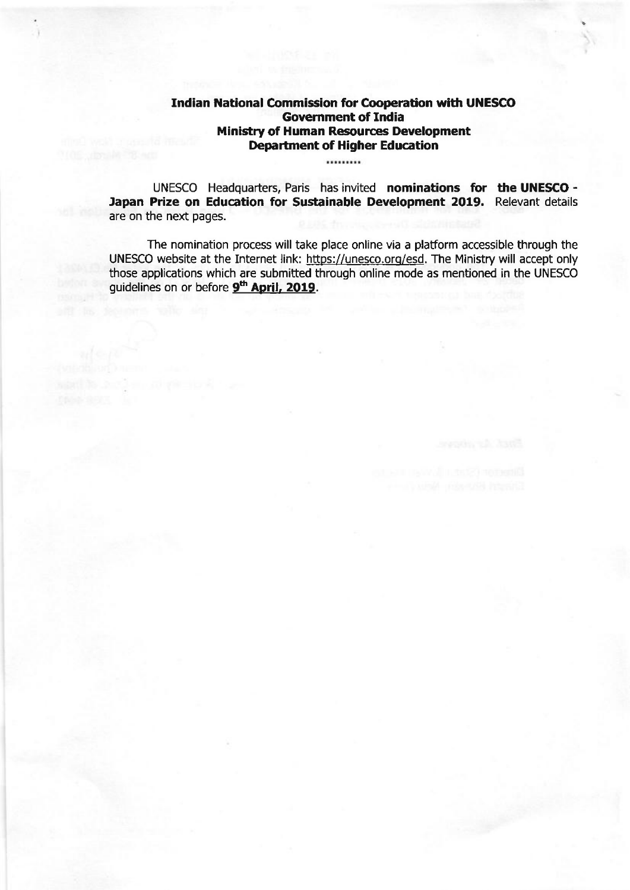# Indian National Commission for Cooperation with UNESCO Government of India Ministry of Human Resources Deyelopment Department of Higher Education

.........

UNESCO Headquarters, Paris has invited nominations for the UNESCO - Japan Prize on Education for Sustainable Development 2019. Relevant details are on the next pages.

The nomination process will take place online via a platform accessible through the UNESCO website at the Internet link: https://unesco.org/esd. The Ministry will accept only those applications which are submitted through online mode as mentioned in the UNESCO guidelines on or before 9<sup>th</sup> April, 2019.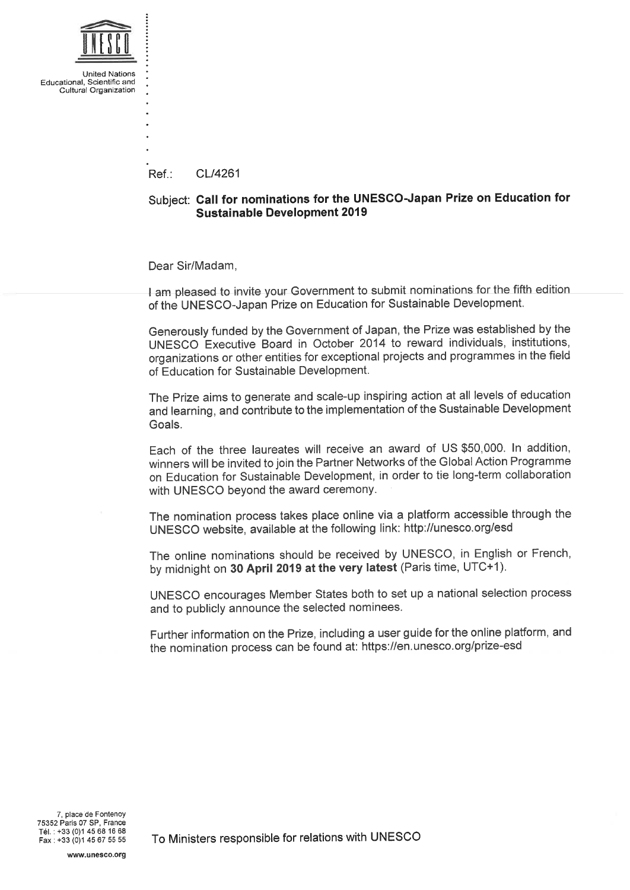

Réf.: CL/4261

# Subject: Call for nominations for thé UNESCO-Japan Prize on Education for Sustainable Development 2019

Dear Sir/Madam.

I am pleased to invite your Government to submit nominations for the fifth edition of thé UNESCO-Japan Prize on Education for Sustainable Development.

Generously funded by the Government of Japan, the Prize was established by the UNESCO Executive Board in October 2014 to reward individuals, institutions, organizations or other entities for exceptional projects and programmes in the field of Education for Sustainable Development.

The Prize aims to generate and scale-up inspiring action at all levels of education and learning, and contribute to the implementation of the Sustainable Development Goals.

Each of the three laureates will receive an award of US \$50,000. In addition, winners will be invited to join the Partner Networks of the Global Action Programme on Education for Sustainable Development, in order to tie long-term collaboration with UNESCO beyond the award ceremony.

The nomination process takes place online via a platform accessible through the UNESCO website, available at thé following link: http://unesco. org/esd

The online nominations should be received by UNESCO, in English or French, by midnight on 30 April 2019 at the very latest (Paris time, UTC+1).

UNESCO encourages Member States both to set up a national sélection process and to publicly announce the selected nominees.

Further information on the Prize, including a user guide for the online platform, and thé nomination process can be found at: https://en. unesco. org/prize-esd

To Ministers responsible for relations with UNESCO

www.unesco.org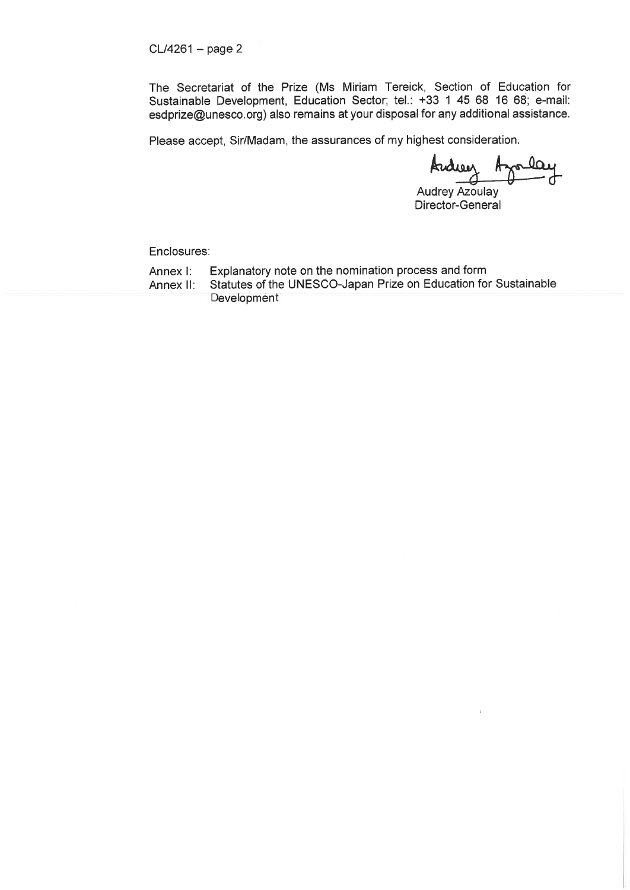The Secretariat of the Prize (Ms Miriam Tereick, Section of Education for Sustainable Development, Education Sector; tel.: +33 1 45 68 16 68; e-mail: esdprize@unesco. org) also remains at your disposai for any additional assistance.

Please accept, Sir/Madam, the assurances of my highest consideration.

Kudiee  $\mathbf{r}$ 

Audrey Azoulay Director-General

Enclosures:

Annex I: Explanatory note on the nomination process and form

Annex II: Statutes of the UNESCO-Japan Prize on Education for Sustainable **Development**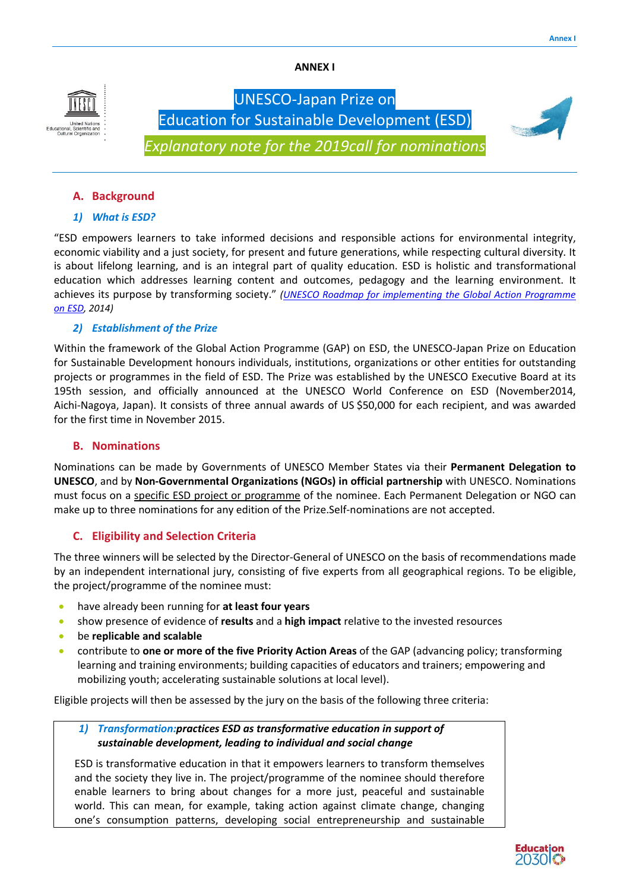ANNEX I



# Education for Sustainable Development (ESD) (ESD)*Explanatory note for the 201 2019call for nominations ominations*UNESCO-Japan Prize on

# A. Background

# *1) What is ESD?*

"ESD empowers learners to take informed decisions and responsible actions for environmental integrity, economic viability and a just society, for present and future generations, while respecting cultural diversity. It is about lifelong learning, and is an integral part of quality education. ESD is holistic and transformational education which addresses learning content and outcomes, pedagogy and the learning environment. It achieves its purpose by transforming society." (UNESCO Roadmap for implementing the Global Action Programme *on ESD, 2014)*

# *2) Establishment of the Prize*

Within the framework of the Global Action Programme (GAP) on ESD, the UNESCO-Japan Prize on Education for Sustainable Development honours individuals, institutions, organizations or other entities for outstanding projects or programmes in the field of ESD. The Prize was established by the UNESCO Executive Board at its 195th session, and officially announced at the UNESCO World Conference on ESD (November2014, 95th Aichi-Nagoya, Japan). It consists of three annual awards of US \$50,000 for each recipient, and was awarded for the first time in November 2015.

## B. Nominations

Nominations can be made by Governments of UNESCO Member States via their Permanent Delegation to UNESCO, and by Non-Governmental Organizations (NGOs) in official partnership with UNESCO. Nominations must focus on a specific ESD project or programme of the nominee. Each Permanent Delegation or NGO can make up to three nominations for any edition of the Prize.Self-nominations are not accepted.

# **C.** Eligibility and Selection Criteria

make up to three nominations for any edition of the Prize.Self-nominations are not accepted.<br> **C.** Eligibility and Selection Criteria<br>
The three winners will be selected by the Director-General of UNESCO on the basis of re by an independent international jury, consisting of five experts from all geographical regions. To be eligible, the project/programme of the nominee must:

- have already been running for at least four years
- **.** show presence of evidence of results and a high impact relative to the invested resources
- be replicable and scalable
- **•** show presence of evidence of **results** and a **high impact** relative to the invested resources<br>• be **replicable and scalable**<br>• contribute to **one or more of the five Priority Action Areas** of the GAP (advancing policy; learning and training environments; building capacities of educators and trainers; empowering and mobilizing youth; accelerating sustainable solutions at local level).

Eligible projects will then be assessed by the jury on the basis of the following three criteria:

# 1) Transformation: practices ESD as transformative education in support of *sustainable development, leading to individual and social change*

ESD is transformative education in that it empowers learners to transform themselves and the society they live in. The project/programme of the nominee should therefore enable learners to bring about changes for a more just, peaceful and sustainable world. This can mean, for example, taking action against climate change, changing one's consumption patterns, developing social entrepreneurship and sustainable learning and training environments; building capacities of educators and trainers; empowering and<br>mobilizing youth; accelerating sustainable solutions at local level).<br>ble projects will then be assessed by the jury on the

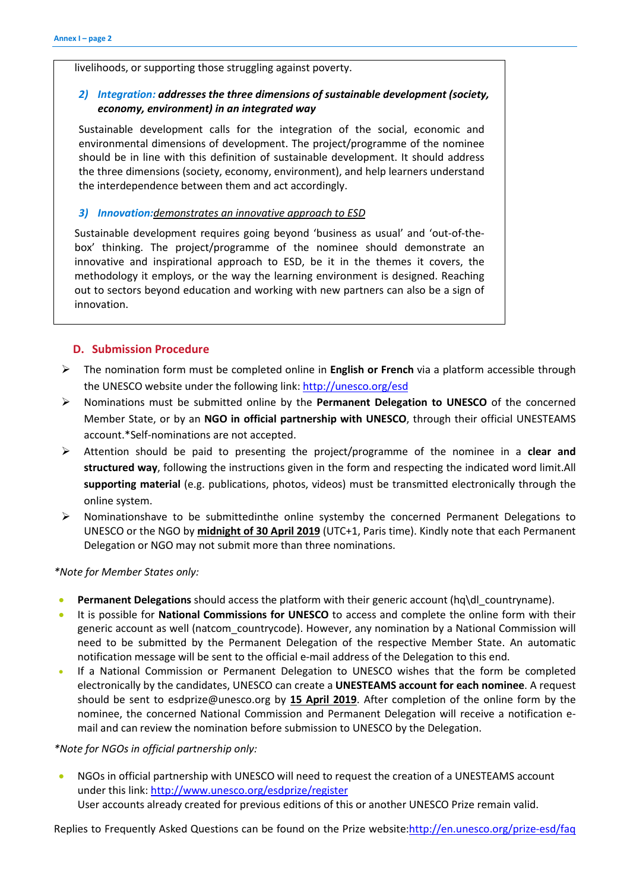livelihoods, or supporting those struggling against poverty.

# *2) Integration: addresses the three dimensions of sustainable development (society, economy, environment) in an integrated way*

Sustainable development calls for the integration of the social, economic and environmental dimensions of development. The project/programme of the nominee should be in line with this definition of sustainable development. It should address the three dimensions (society, economy, environment), and help learners understand the interdependence between them and act accordingly.

#### *3) Innovation:demonstrates an innovative approach to ESD*

Sustainable development requires going beyond 'business as usual' and 'out-of-thebox' thinking. The project/programme of the nominee should demonstrate an innovative and inspirational approach to ESD, be it in the themes it covers, the methodology it employs, or the way the learning environment is designed. Reaching out to sectors beyond education and working with new partners can also be a sign of innovation.

### D. Submission Procedure

- The nomination form must be completed online in **English or French** via a platform accessible through the UNESCO website under the following link: http://unesco.org/esd
- $\triangleright$  Nominations must be submitted online by the Permanent Delegation to UNESCO of the concerned Member State, or by an NGO in official partnership with UNESCO, through their official UNESTEAMS account.\*Self-nominations are not accepted.
- > Attention should be paid to presenting the project/programme of the nominee in a clear and structured way, following the instructions given in the form and respecting the indicated word limit.All supporting material (e.g. publications, photos, videos) must be transmitted electronically through the online system.
- $\triangleright$  Nominationshave to be submittedinthe online systemby the concerned Permanent Delegations to UNESCO or the NGO by midnight of 30 April 2019 (UTC+1, Paris time). Kindly note that each Permanent Delegation or NGO may not submit more than three nominations.

*\*Note for Member States only:*

- **Permanent Delegations** should access the platform with their generic account  $\left(\frac{hq}{d}\right)$  countryname).
- It is possible for National Commissions for UNESCO to access and complete the online form with their generic account as well (natcom\_countrycode). However, any nomination by a National Commission will need to be submitted by the Permanent Delegation of the respective Member State. An automatic notification message will be sent to the official e-mail address of the Delegation to this end.
- If a National Commission or Permanent Delegation to UNESCO wishes that the form be completed electronically by the candidates, UNESCO can create a UNESTEAMS account for each nominee. A request should be sent to esdprize@unesco.org by 15 April 2019. After completion of the online form by the nominee, the concerned National Commission and Permanent Delegation will receive a notification email and can review the nomination before submission to UNESCO by the Delegation.

#### *\*Note for NGOs in official partnership only:*

 NGOs in official partnership with UNESCO will need to request the creation of a UNESTEAMS account under this link: http://www.unesco.org/esdprize/register User accounts already created for previous editions of this or another UNESCO Prize remain valid.

Replies to Frequently Asked Questions can be found on the Prize website:http://en.unesco.org/prize-esd/faq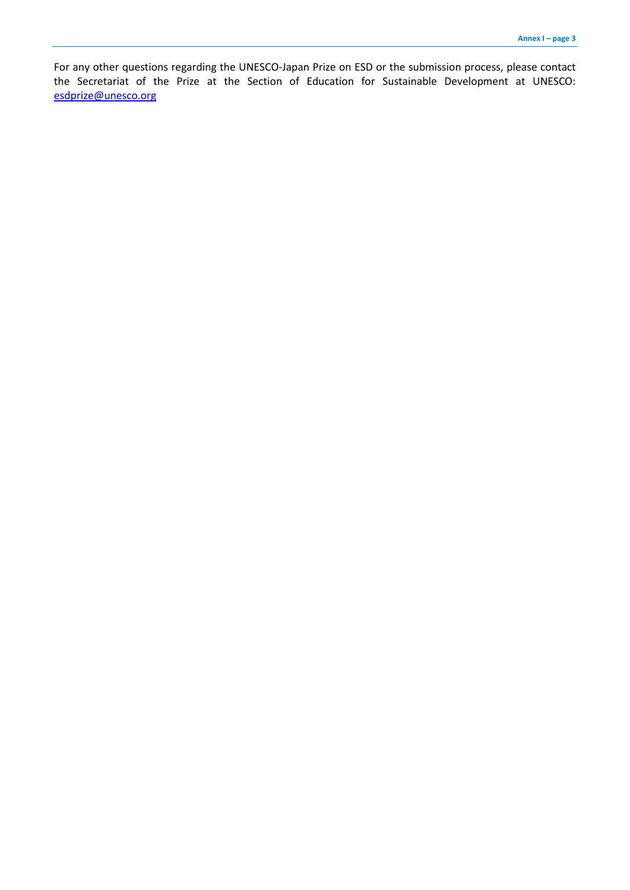For any other questions regarding the UNESCO-Japan Prize on ESD or the submission process, please contact the Secretariat of the Prize at the Section of Education for Sustainable Development at UNESCO: esdprize@unesco.org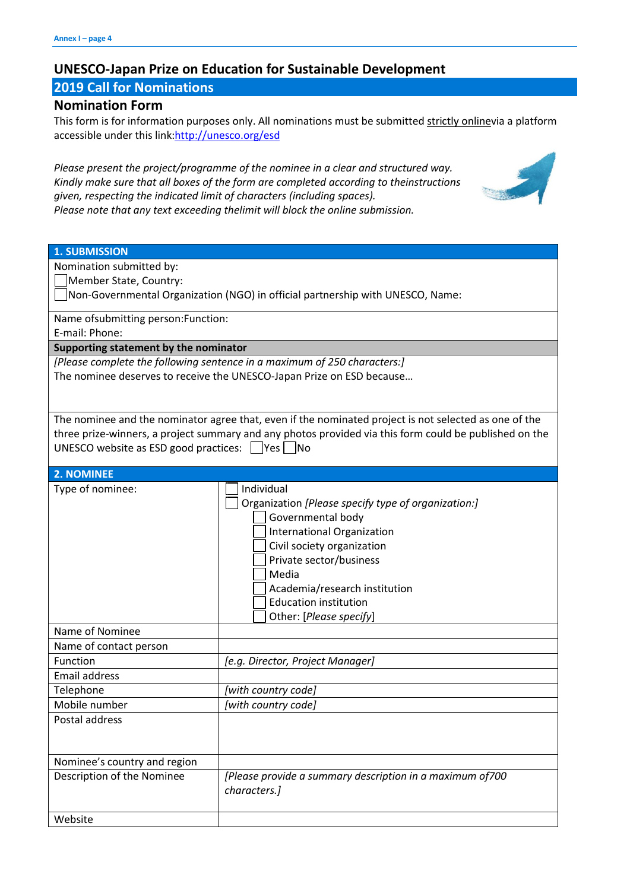# UNESCO-Japan Prize on Education for Sustainable Development

# 2019 Call for Nominations

# Nomination Form

This form is for information purposes only. All nominations must be submitted strictly onlinevia a platform accessible under this link: http://unesco.org/esd

Please present the project/programme of the nominee in a clear and structured way. *Kindly make sure that all boxes of the form are completed according to the theinstructions instructions given, respecting the indicated limit of characters (including spaces) spaces). Please note that any text exceeding thelimit will block the online submission.*



| <b>1. SUBMISSION</b>                                                                                   |                                                           |
|--------------------------------------------------------------------------------------------------------|-----------------------------------------------------------|
| Nomination submitted by:                                                                               |                                                           |
| Member State, Country:                                                                                 |                                                           |
| Non-Governmental Organization (NGO) in official partnership with UNESCO, Name:                         |                                                           |
| Name of submitting person: Function:                                                                   |                                                           |
| E-mail: Phone:                                                                                         |                                                           |
| Supporting statement by the nominator                                                                  |                                                           |
| [Please complete the following sentence in a maximum of 250 characters:]                               |                                                           |
| The nominee deserves to receive the UNESCO-Japan Prize on ESD because                                  |                                                           |
|                                                                                                        |                                                           |
|                                                                                                        |                                                           |
| The nominee and the nominator agree that, even if the nominated project is not selected as one of the  |                                                           |
| three prize-winners, a project summary and any photos provided via this form could be published on the |                                                           |
| UNESCO website as ESD good practices: $\Box$ Yes $\Box$ No                                             |                                                           |
|                                                                                                        |                                                           |
| 2. NOMINEE                                                                                             |                                                           |
| Type of nominee:                                                                                       | Individual                                                |
|                                                                                                        | Organization [Please specify type of organization:]       |
|                                                                                                        | Governmental body                                         |
|                                                                                                        | <b>International Organization</b>                         |
|                                                                                                        | Civil society organization                                |
|                                                                                                        | Private sector/business                                   |
|                                                                                                        | Media                                                     |
|                                                                                                        | Academia/research institution                             |
|                                                                                                        | <b>Education institution</b>                              |
|                                                                                                        | Other: [Please specify]                                   |
| Name of Nominee                                                                                        |                                                           |
| Name of contact person                                                                                 |                                                           |
| Function                                                                                               | [e.g. Director, Project Manager]                          |
| Email address                                                                                          |                                                           |
| Telephone                                                                                              | [with country code]                                       |
| Mobile number                                                                                          | [with country code]                                       |
| Postal address                                                                                         |                                                           |
|                                                                                                        |                                                           |
|                                                                                                        |                                                           |
| Nominee's country and region                                                                           |                                                           |
| Description of the Nominee                                                                             | [Please provide a summary description in a maximum of 700 |
|                                                                                                        | characters.]                                              |
|                                                                                                        |                                                           |
| Website                                                                                                |                                                           |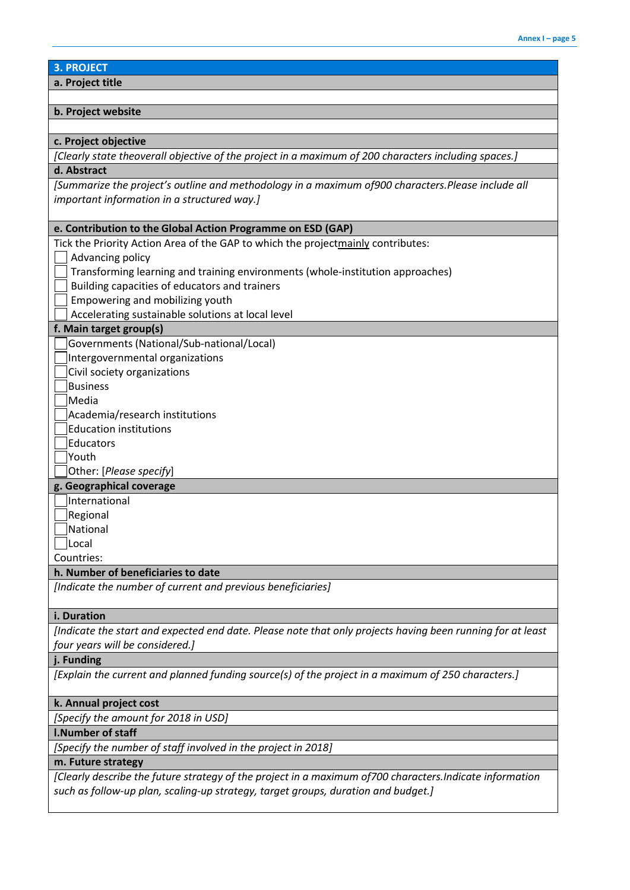# 3. PROJECT

a. Project title

## b. Project website

#### c. Project objective

*[Clearly state theoverall objective of the project in a maximum of 200 characters including spaces.]*

# d. Abstract

*[Summarize the project's outline and methodology in a maximum of900 characters.Please include all important information in a structured way.]*

# e. Contribution to the Global Action Programme on ESD (GAP)

| e. Contribution to the Giobal Action Programme on ESD (GAP)                                                |
|------------------------------------------------------------------------------------------------------------|
| Tick the Priority Action Area of the GAP to which the projectmainly contributes:                           |
| Advancing policy                                                                                           |
| Transforming learning and training environments (whole-institution approaches)                             |
| Building capacities of educators and trainers                                                              |
| Empowering and mobilizing youth                                                                            |
| Accelerating sustainable solutions at local level                                                          |
| f. Main target group(s)                                                                                    |
| Governments (National/Sub-national/Local)                                                                  |
| Intergovernmental organizations                                                                            |
| Civil society organizations                                                                                |
| <b>Business</b>                                                                                            |
| Media                                                                                                      |
| Academia/research institutions                                                                             |
| <b>Education institutions</b>                                                                              |
| Educators                                                                                                  |
| Youth                                                                                                      |
| Other: [Please specify]                                                                                    |
| g. Geographical coverage                                                                                   |
| International                                                                                              |
| Regional                                                                                                   |
| National                                                                                                   |
| Local                                                                                                      |
| Countries:                                                                                                 |
| h. Number of beneficiaries to date                                                                         |
| [Indicate the number of current and previous beneficiaries]                                                |
|                                                                                                            |
| i. Duration                                                                                                |
| [Indicate the start and expected end date. Please note that only projects having been running for at least |
| four years will be considered.]                                                                            |
| j. Funding                                                                                                 |
| [Explain the current and planned funding source(s) of the project in a maximum of 250 characters.]         |
|                                                                                                            |
| k. Annual project cost                                                                                     |
| [Specify the amount for 2018 in USD]                                                                       |

# l.Number of staff

*[Specify the number of staff involved in the project in 2018]*

# m. Future strategy

*[Clearly describe the future strategy of the project in a maximum of700 characters.Indicate information such as follow-up plan, scaling-up strategy, target groups, duration and budget.]*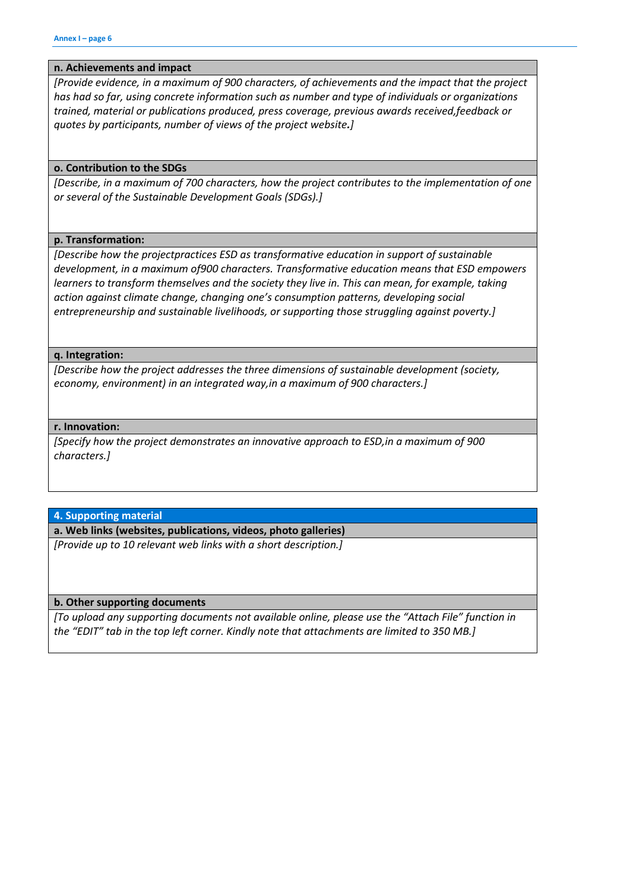### n. Achievements and impact

*[Provide evidence, in a maximum of 900 characters, of achievements and the impact that the project has had so far, using concrete information such as number and type of individuals or organizations trained, material or publications produced, press coverage, previous awards received,feedback or quotes by participants, number of views of the project website.]*

#### o. Contribution to the SDGs

*[Describe, in a maximum of 700 characters, how the project contributes to the implementation of one or several of the Sustainable Development Goals (SDGs).]*

### p. Transformation:

*[Describe how the projectpractices ESD as transformative education in support of sustainable development, in a maximum of900 characters. Transformative education means that ESD empowers learners to transform themselves and the society they live in. This can mean, for example, taking action against climate change, changing one's consumption patterns, developing social entrepreneurship and sustainable livelihoods, or supporting those struggling against poverty.]*

#### q. Integration:

*[Describe how the project addresses the three dimensions of sustainable development (society, economy, environment) in an integrated way,in a maximum of 900 characters.]*

#### r. Innovation:

*[Specify how the project demonstrates an innovative approach to ESD,in a maximum of 900 characters.]*

4. Supporting material

a. Web links (websites, publications, videos, photo galleries)

*[Provide up to 10 relevant web links with a short description.]*

b. Other supporting documents

*[To upload any supporting documents not available online, please use the "Attach File" function in the "EDIT" tab in the top left corner. Kindly note that attachments are limited to 350 MB.]*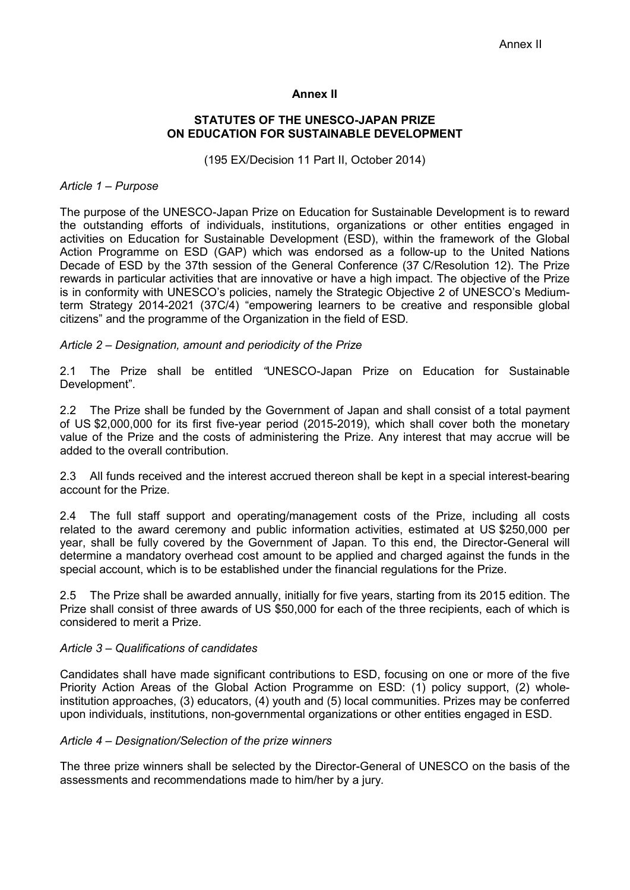# **Annex II**

# **STATUTES OF THE UNESCO-JAPAN PRIZE ON EDUCATION FOR SUSTAINABLE DEVELOPMENT**

(195 EX/Decision 11 Part II, October 2014)

## *Article 1 – Purpose*

The purpose of the UNESCO-Japan Prize on Education for Sustainable Development is to reward the outstanding efforts of individuals, institutions, organizations or other entities engaged in activities on Education for Sustainable Development (ESD), within the framework of the Global Action Programme on ESD (GAP) which was endorsed as a follow-up to the United Nations Decade of ESD by the 37th session of the General Conference (37 C/Resolution 12). The Prize rewards in particular activities that are innovative or have a high impact. The objective of the Prize is in conformity with UNESCO's policies, namely the Strategic Objective 2 of UNESCO's Mediumterm Strategy 2014-2021 (37C/4) "empowering learners to be creative and responsible global citizens" and the programme of the Organization in the field of ESD*.*

# *Article 2 – Designation, amount and periodicity of the Prize*

2.1 The Prize shall be entitled *"*UNESCO-Japan Prize on Education for Sustainable Development"*.*

2.2 The Prize shall be funded by the Government of Japan and shall consist of a total payment of US \$2,000,000 for its first five-year period (2015-2019), which shall cover both the monetary value of the Prize and the costs of administering the Prize. Any interest that may accrue will be added to the overall contribution.

2.3 All funds received and the interest accrued thereon shall be kept in a special interest-bearing account for the Prize.

2.4 The full staff support and operating/management costs of the Prize, including all costs related to the award ceremony and public information activities, estimated at US \$250,000 per year, shall be fully covered by the Government of Japan. To this end, the Director-General will determine a mandatory overhead cost amount to be applied and charged against the funds in the special account, which is to be established under the financial regulations for the Prize.

2.5 The Prize shall be awarded annually, initially for five years, starting from its 2015 edition. The Prize shall consist of three awards of US \$50,000 for each of the three recipients, each of which is considered to merit a Prize.

### *Article 3 – Qualifications of candidates*

Candidates shall have made significant contributions to ESD, focusing on one or more of the five Priority Action Areas of the Global Action Programme on ESD: (1) policy support, (2) wholeinstitution approaches, (3) educators, (4) youth and (5) local communities. Prizes may be conferred upon individuals, institutions, non-governmental organizations or other entities engaged in ESD.

## *Article 4 – Designation/Selection of the prize winners*

The three prize winners shall be selected by the Director-General of UNESCO on the basis of the assessments and recommendations made to him/her by a jury*.*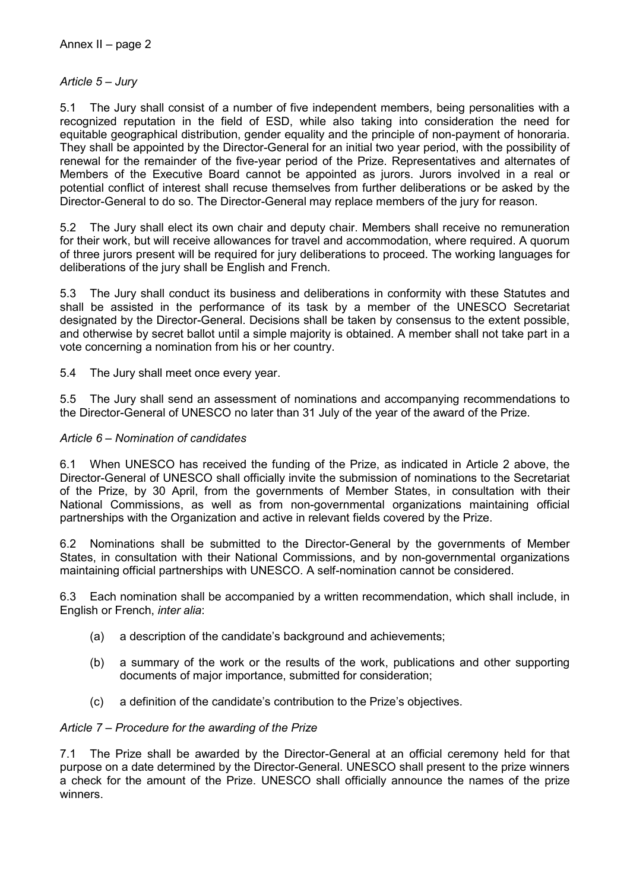# *Article 5 – Jury*

5.1 The Jury shall consist of a number of five independent members, being personalities with a recognized reputation in the field of ESD, while also taking into consideration the need for equitable geographical distribution, gender equality and the principle of non-payment of honoraria. They shall be appointed by the Director-General for an initial two year period, with the possibility of renewal for the remainder of the five-year period of the Prize. Representatives and alternates of Members of the Executive Board cannot be appointed as jurors. Jurors involved in a real or potential conflict of interest shall recuse themselves from further deliberations or be asked by the Director-General to do so. The Director-General may replace members of the jury for reason.

5.2 The Jury shall elect its own chair and deputy chair. Members shall receive no remuneration for their work, but will receive allowances for travel and accommodation, where required. A quorum of three jurors present will be required for jury deliberations to proceed. The working languages for deliberations of the jury shall be English and French.

5.3 The Jury shall conduct its business and deliberations in conformity with these Statutes and shall be assisted in the performance of its task by a member of the UNESCO Secretariat designated by the Director-General. Decisions shall be taken by consensus to the extent possible, and otherwise by secret ballot until a simple majority is obtained. A member shall not take part in a vote concerning a nomination from his or her country.

5.4 The Jury shall meet once every year.

5.5 The Jury shall send an assessment of nominations and accompanying recommendations to the Director-General of UNESCO no later than 31 July of the year of the award of the Prize.

# *Article 6 – Nomination of candidates*

6.1 When UNESCO has received the funding of the Prize, as indicated in Article 2 above, the Director-General of UNESCO shall officially invite the submission of nominations to the Secretariat of the Prize, by 30 April, from the governments of Member States, in consultation with their National Commissions, as well as from non-governmental organizations maintaining official partnerships with the Organization and active in relevant fields covered by the Prize.

6.2 Nominations shall be submitted to the Director-General by the governments of Member States, in consultation with their National Commissions, and by non-governmental organizations maintaining official partnerships with UNESCO. A self-nomination cannot be considered.

6.3 Each nomination shall be accompanied by a written recommendation, which shall include, in English or French, *inter alia*:

- (a) a description of the candidate's background and achievements;
- (b) a summary of the work or the results of the work, publications and other supporting documents of major importance, submitted for consideration;
- (c) a definition of the candidate's contribution to the Prize's objectives.

# *Article 7 – Procedure for the awarding of the Prize*

7.1 The Prize shall be awarded by the Director-General at an official ceremony held for that purpose on a date determined by the Director-General. UNESCO shall present to the prize winners a check for the amount of the Prize. UNESCO shall officially announce the names of the prize winners.